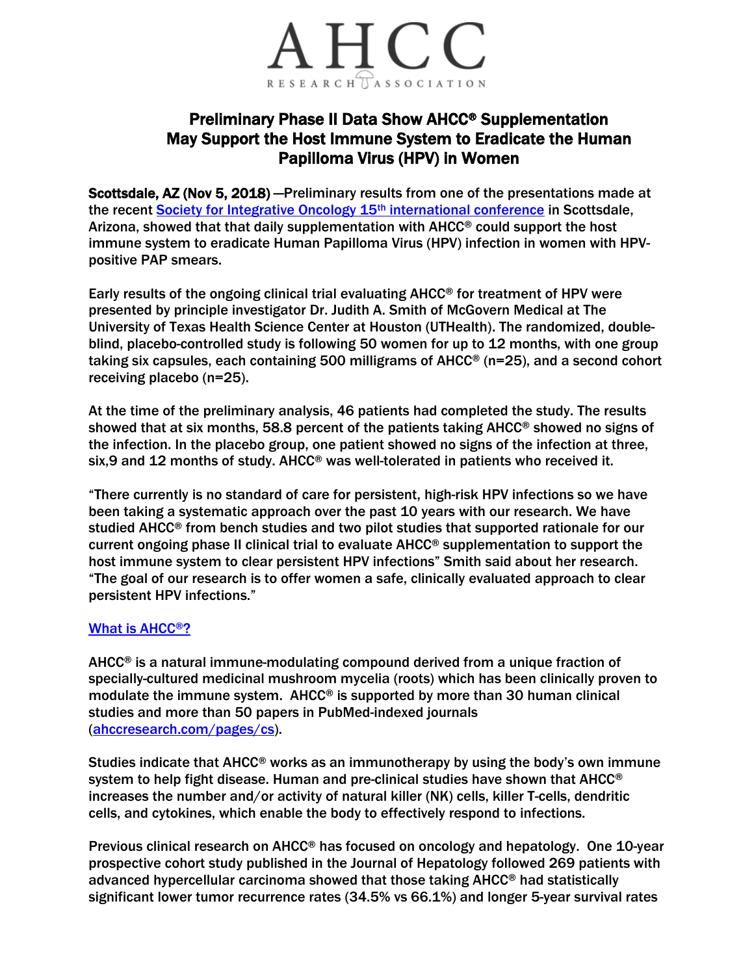

## Preliminary Phase II Data Show AHCC® Supplementation May Support the Host Immune System to Eradicate the Human Papilloma Virus (HPV) in Women

Scottsdale, AZ (Nov 5, 2018) —Preliminary results from one of the presentations made at the recent [Society for Integrative Oncology 15](https://integrativeonc.org/)<sup>th</sup> international conference in Scottsdale, Arizona, showed that that daily supplementation with AHCC® could support the host immune system to eradicate Human Papilloma Virus (HPV) infection in women with HPVpositive PAP smears.

Early results of the ongoing clinical trial evaluating AHCC® for treatment of HPV were presented by principle investigator Dr. Judith A. Smith of McGovern Medical at The University of Texas Health Science Center at Houston (UTHealth). The randomized, doubleblind, placebo-controlled study is following 50 women for up to 12 months, with one group taking six capsules, each containing 500 milligrams of AHCC® (n=25), and a second cohort receiving placebo (n=25).

At the time of the preliminary analysis, 46 patients had completed the study. The results showed that at six months, 58.8 percent of the patients taking AHCC® showed no signs of the infection. In the placebo group, one patient showed no signs of the infection at three, six,9 and 12 months of study. AHCC® was well-tolerated in patients who received it.

"There currently is no standard of care for persistent, high-risk HPV infections so we have been taking a systematic approach over the past 10 years with our research. We have studied AHCC® from bench studies and two pilot studies that supported rationale for our current ongoing phase II clinical trial to evaluate AHCC® supplementation to support the host immune system to clear persistent HPV infections" Smith said about her research. "The goal of our research is to offer women a safe, clinically evaluated approach to clear persistent HPV infections."

## [What is AHCC](https://ahccresearch.com/pages/what-is-ahcc)®?

AHCC® is a natural immune-modulating compound derived from a unique fraction of specially-cultured medicinal mushroom mycelia (roots) which has been clinically proven to modulate the immune system. AHCC® is supported by more than 30 human clinical studies and more than 50 papers in PubMed-indexed journals [\(ahccresearch.com/pages/cs\)](https://www.ahccresearch.org/pages/cs).

Studies indicate that  $A HCC^{\circledcirc}$  works as an immunotherapy by using the body's own immune system to help fight disease. Human and pre-clinical studies have shown that AHCC® increases the number and/or activity of natural killer (NK) cells, killer T-cells, dendritic cells, and cytokines, which enable the body to effectively respond to infections.

Previous clinical research on AHCC® has focused on oncology and hepatology. One 10-year prospective cohort study published in the Journal of Hepatology followed 269 patients with advanced hypercellular carcinoma showed that those taking AHCC® had statistically significant lower tumor recurrence rates (34.5% vs 66.1%) and longer 5-year survival rates